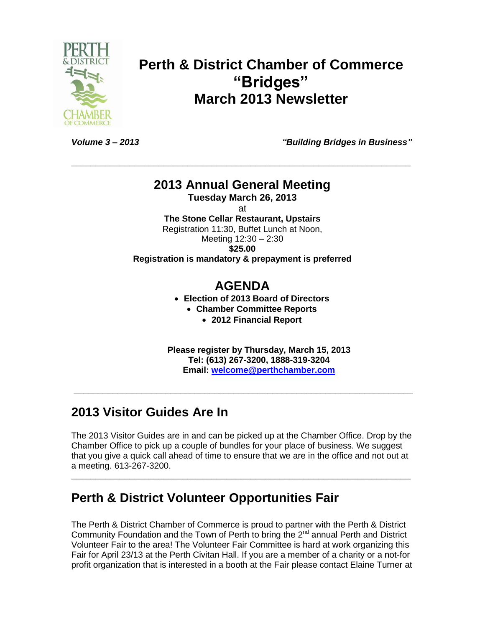

# **Perth & District Chamber of Commerce "Bridges" March 2013 Newsletter**

*Volume 3 – 2013 "Building Bridges in Business"*

### **2013 Annual General Meeting**

**\_\_\_\_\_\_\_\_\_\_\_\_\_\_\_\_\_\_\_\_\_\_\_\_\_\_\_\_\_\_\_\_\_\_\_\_\_\_\_\_\_\_\_\_\_\_\_\_\_\_\_\_\_\_\_\_\_\_\_\_\_\_\_\_\_\_\_\_\_\_**

**Tuesday March 26, 2013**

at

**The Stone Cellar Restaurant, Upstairs** Registration 11:30, Buffet Lunch at Noon,

Meeting 12:30 – 2:30

**\$25.00** 

**Registration is mandatory & prepayment is preferred**

## **AGENDA**

**Election of 2013 Board of Directors**

**Chamber Committee Reports**

**2012 Financial Report**

**Please register by Thursday, March 15, 2013 Tel: (613) 267-3200, 1888-319-3204 Email: [welcome@perthchamber.com](mailto:welcome@perthchamber.com)**

## **2013 Visitor Guides Are In**

The 2013 Visitor Guides are in and can be picked up at the Chamber Office. Drop by the Chamber Office to pick up a couple of bundles for your place of business. We suggest that you give a quick call ahead of time to ensure that we are in the office and not out at a meeting. 613-267-3200.

**\_\_\_\_\_\_\_\_\_\_\_\_\_\_\_\_\_\_\_\_\_\_\_\_\_\_\_\_\_\_\_\_\_\_\_\_\_\_\_\_\_\_\_\_\_\_\_\_\_\_\_\_\_\_\_\_\_\_\_\_\_\_\_\_\_\_\_\_\_\_**

**\_\_\_\_\_\_\_\_\_\_\_\_\_\_\_\_\_\_\_\_\_\_\_\_\_\_\_\_\_\_\_\_\_\_\_\_\_\_\_\_\_\_\_\_\_\_\_\_\_\_\_\_\_\_\_\_\_\_\_\_\_\_\_\_\_\_\_\_\_\_**

## **Perth & District Volunteer Opportunities Fair**

The Perth & District Chamber of Commerce is proud to partner with the Perth & District Community Foundation and the Town of Perth to bring the 2<sup>nd</sup> annual Perth and District Volunteer Fair to the area! The Volunteer Fair Committee is hard at work organizing this Fair for April 23/13 at the Perth Civitan Hall. If you are a member of a charity or a not-for profit organization that is interested in a booth at the Fair please contact Elaine Turner at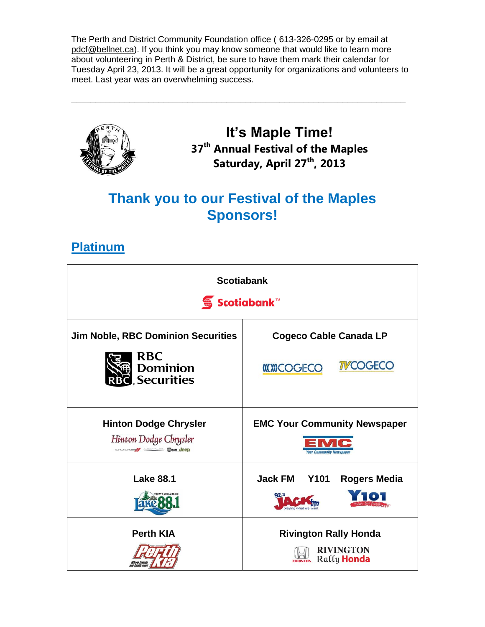The Perth and District Community Foundation office ( 613-326-0295 or by email at [pdcf@bellnet.ca\)](mailto:pdcf@bellnet.ca). If you think you may know someone that would like to learn more about volunteering in Perth & District, be sure to have them mark their calendar for Tuesday April 23, 2013. It will be a great opportunity for organizations and volunteers to meet. Last year was an overwhelming success.

**\_\_\_\_\_\_\_\_\_\_\_\_\_\_\_\_\_\_\_\_\_\_\_\_\_\_\_\_\_\_\_\_\_\_\_\_\_\_\_\_\_\_\_\_\_\_\_\_\_\_\_\_\_\_\_\_\_\_\_\_\_\_\_\_\_\_\_\_\_**



**It's Maple Time! 37 th Annual Festival of the Maples Saturday, April 27 th, 2013**

# **Thank you to our Festival of the Maples Sponsors!**

## **Platinum**

| <b>Scotiabank</b><br><b>⑤</b> Scotiabank™                                              |                                                                                 |
|----------------------------------------------------------------------------------------|---------------------------------------------------------------------------------|
| <b>Jim Noble, RBC Dominion Securities</b>                                              | <b>Cogeco Cable Canada LP</b>                                                   |
| <b>RBC</b><br>Dominion<br><b>Securities</b>                                            | <b>TVCOGECO</b><br><b>((O))COGECO</b>                                           |
| <b>Hinton Dodge Chrysler</b><br>Hinton Dodge Chrysler<br><b>DODGE/ SHOWS TRAN JEED</b> | <b>EMC Your Community Newspaper</b><br><b>Your Community Newspaper</b>          |
| <b>Lake 88.1</b>                                                                       | <b>Jack FM</b><br><b>Y101</b><br><b>Rogers Media</b><br>aving what we           |
| <b>Perth KIA</b>                                                                       | <b>Rivington Rally Honda</b><br><b>RIVINGTON</b><br>Rally Honda<br><b>HONDA</b> |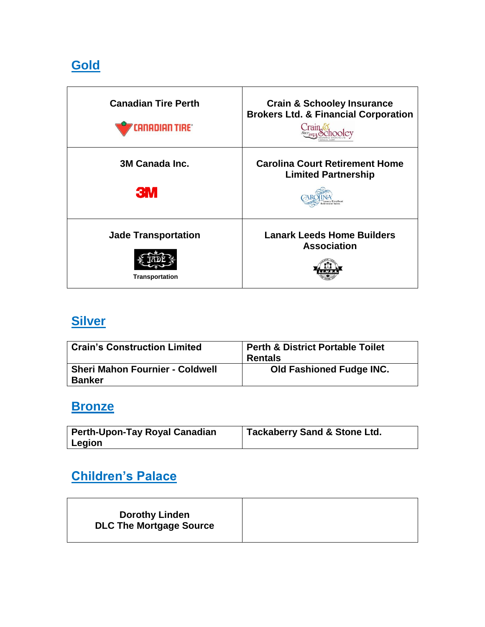# **Gold**

| <b>Canadian Tire Perth</b> | <b>Crain &amp; Schooley Insurance</b>           |
|----------------------------|-------------------------------------------------|
| <b>ANADIAN TIRE®</b>       | <b>Brokers Ltd. &amp; Financial Corporation</b> |
| 3M Canada Inc.             | <b>Carolina Court Retirement Home</b>           |
| <b>3M</b>                  | <b>Limited Partnership</b>                      |
| <b>Jade Transportation</b> | <b>Lanark Leeds Home Builders</b>               |
| <b>Transportation</b>      | <b>Association</b>                              |

# **Silver**

| <b>Crain's Construction Limited</b>                     | <b>Perth &amp; District Portable Toilet</b><br><b>Rentals</b> |
|---------------------------------------------------------|---------------------------------------------------------------|
| <b>Sheri Mahon Fournier - Coldwell</b><br><b>Banker</b> | <b>Old Fashioned Fudge INC.</b>                               |

## **Bronze**

| <b>Perth-Upon-Tay Royal Canadian</b> | <sup>1</sup> Tackaberry Sand & Stone Ltd. |
|--------------------------------------|-------------------------------------------|
| Legion                               |                                           |

# **Children's Palace**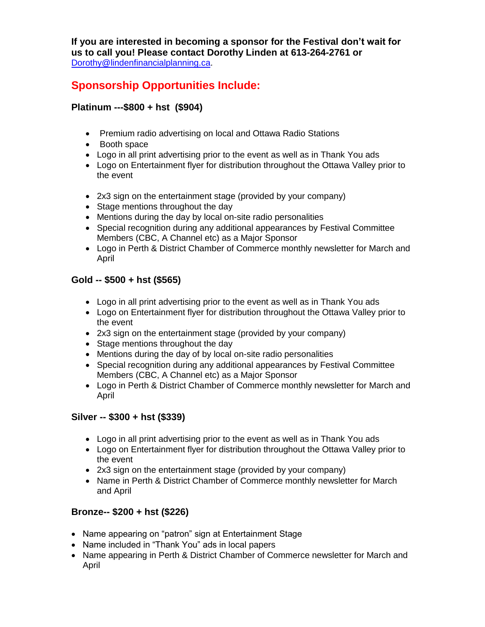**If you are interested in becoming a sponsor for the Festival don't wait for us to call you! Please contact Dorothy Linden at 613-264-2761 or**  [Dorothy@lindenfinancialplanning.ca.](mailto:Dorothy@lindenfinancialplanning.ca)

### **Sponsorship Opportunities Include:**

### **Platinum ---\$800 + hst (\$904)**

- Premium radio advertising on local and Ottawa Radio Stations
- Booth space
- Logo in all print advertising prior to the event as well as in Thank You ads
- Logo on Entertainment flyer for distribution throughout the Ottawa Valley prior to the event
- 2x3 sign on the entertainment stage (provided by your company)
- Stage mentions throughout the day
- Mentions during the day by local on-site radio personalities
- Special recognition during any additional appearances by Festival Committee Members (CBC, A Channel etc) as a Major Sponsor
- Logo in Perth & District Chamber of Commerce monthly newsletter for March and April

### **Gold -- \$500 + hst (\$565)**

- Logo in all print advertising prior to the event as well as in Thank You ads
- Logo on Entertainment flyer for distribution throughout the Ottawa Valley prior to the event
- 2x3 sign on the entertainment stage (provided by your company)
- Stage mentions throughout the day
- Mentions during the day of by local on-site radio personalities
- Special recognition during any additional appearances by Festival Committee Members (CBC, A Channel etc) as a Major Sponsor
- Logo in Perth & District Chamber of Commerce monthly newsletter for March and April

#### **Silver -- \$300 + hst (\$339)**

- Logo in all print advertising prior to the event as well as in Thank You ads
- Logo on Entertainment flyer for distribution throughout the Ottawa Valley prior to the event
- 2x3 sign on the entertainment stage (provided by your company)
- Name in Perth & District Chamber of Commerce monthly newsletter for March and April

### **Bronze-- \$200 + hst (\$226)**

- Name appearing on "patron" sign at Entertainment Stage
- Name included in "Thank You" ads in local papers
- Name appearing in Perth & District Chamber of Commerce newsletter for March and April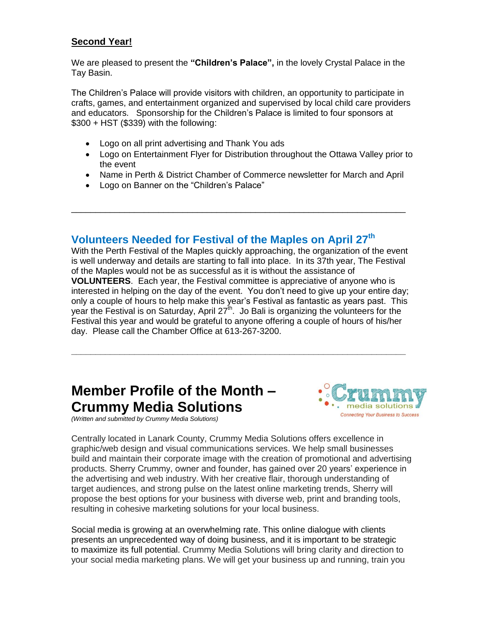### **Second Year!**

We are pleased to present the **"Children's Palace",** in the lovely Crystal Palace in the Tay Basin.

The Children's Palace will provide visitors with children, an opportunity to participate in crafts, games, and entertainment organized and supervised by local child care providers and educators. Sponsorship for the Children's Palace is limited to four sponsors at \$300 + HST (\$339) with the following:

- Logo on all print advertising and Thank You ads
- Logo on Entertainment Flyer for Distribution throughout the Ottawa Valley prior to the event
- Name in Perth & District Chamber of Commerce newsletter for March and April

\_\_\_\_\_\_\_\_\_\_\_\_\_\_\_\_\_\_\_\_\_\_\_\_\_\_\_\_\_\_\_\_\_\_\_\_\_\_\_\_\_\_\_\_\_\_\_\_\_\_\_\_\_\_\_\_\_\_\_\_\_\_\_\_\_\_\_\_\_

Logo on Banner on the "Children's Palace"

### **Volunteers Needed for Festival of the Maples on April 27 th**

With the Perth Festival of the Maples quickly approaching, the organization of the event is well underway and details are starting to fall into place. In its 37th year, The Festival of the Maples would not be as successful as it is without the assistance of **VOLUNTEERS**. Each year, the Festival committee is appreciative of anyone who is interested in helping on the day of the event. You don't need to give up your entire day; only a couple of hours to help make this year's Festival as fantastic as years past. This year the Festival is on Saturday, April 27<sup>th</sup>. Jo Bali is organizing the volunteers for the Festival this year and would be grateful to anyone offering a couple of hours of his/her day. Please call the Chamber Office at 613-267-3200.

**\_\_\_\_\_\_\_\_\_\_\_\_\_\_\_\_\_\_\_\_\_\_\_\_\_\_\_\_\_\_\_\_\_\_\_\_\_\_\_\_\_\_\_\_\_\_\_\_\_\_\_\_\_\_\_\_\_\_\_\_\_\_\_\_\_\_\_\_\_**

# **Member Profile of the Month – Crummy Media Solutions**

*(Written and submitted by Crummy Media Solutions)*



Centrally located in Lanark County, Crummy Media Solutions offers excellence in graphic/web design and visual communications services. We help small businesses build and maintain their corporate image with the creation of promotional and advertising products. Sherry Crummy, owner and founder, has gained over 20 years' experience in the advertising and web industry. With her creative flair, thorough understanding of target audiences, and strong pulse on the latest online marketing trends, Sherry will propose the best options for your business with diverse web, print and branding tools, resulting in cohesive marketing solutions for your local business.

Social media is growing at an overwhelming rate. This online dialogue with clients presents an unprecedented way of doing business, and it is important to be strategic to maximize its full potential. Crummy Media Solutions will bring clarity and direction to your social media marketing plans. We will get your business up and running, train you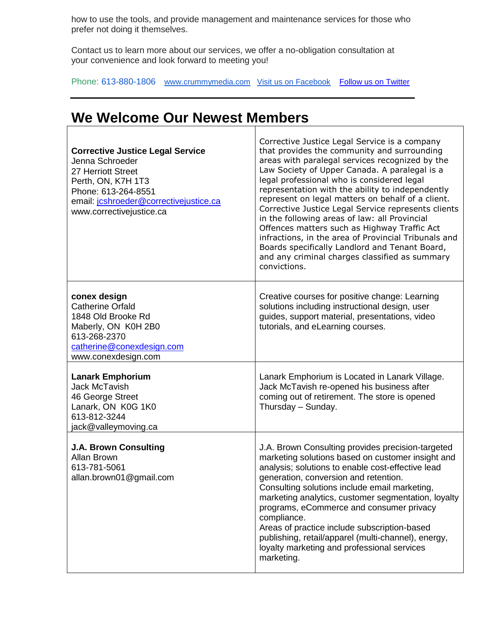how to use the tools, and provide management and maintenance services for those who prefer not doing it themselves.

Contact us to learn more about our services, we offer a no-obligation consultation at your convenience and look forward to meeting you!

Phone: 613-880-1806 [www.crummymedia.com](http://www.crummymedia.com/) [Visit us on Facebook](http://www.facebook.com/CrummyMedia) [Follow us on Twitter](https://twitter.com/CrummyMedia)

## **We Welcome Our Newest Members**

| <b>Corrective Justice Legal Service</b><br>Jenna Schroeder<br>27 Herriott Street<br>Perth, ON, K7H 1T3<br>Phone: 613-264-8551<br>email: jcshroeder@correctivejustice.ca<br>www.correctivejustice.ca | Corrective Justice Legal Service is a company<br>that provides the community and surrounding<br>areas with paralegal services recognized by the<br>Law Society of Upper Canada. A paralegal is a<br>legal professional who is considered legal<br>representation with the ability to independently<br>represent on legal matters on behalf of a client.<br>Corrective Justice Legal Service represents clients<br>in the following areas of law: all Provincial<br>Offences matters such as Highway Traffic Act<br>infractions, in the area of Provincial Tribunals and<br>Boards specifically Landlord and Tenant Board,<br>and any criminal charges classified as summary<br>convictions. |
|-----------------------------------------------------------------------------------------------------------------------------------------------------------------------------------------------------|---------------------------------------------------------------------------------------------------------------------------------------------------------------------------------------------------------------------------------------------------------------------------------------------------------------------------------------------------------------------------------------------------------------------------------------------------------------------------------------------------------------------------------------------------------------------------------------------------------------------------------------------------------------------------------------------|
| conex design<br><b>Catherine Orfald</b><br>1848 Old Brooke Rd<br>Maberly, ON K0H 2B0<br>613-268-2370<br>catherine@conexdesign.com<br>www.conexdesign.com                                            | Creative courses for positive change: Learning<br>solutions including instructional design, user<br>guides, support material, presentations, video<br>tutorials, and eLearning courses.                                                                                                                                                                                                                                                                                                                                                                                                                                                                                                     |
| <b>Lanark Emphorium</b><br><b>Jack McTavish</b><br>46 George Street<br>Lanark, ON K0G 1K0<br>613-812-3244<br>jack@valleymoving.ca                                                                   | Lanark Emphorium is Located in Lanark Village.<br>Jack McTavish re-opened his business after<br>coming out of retirement. The store is opened<br>Thursday - Sunday.                                                                                                                                                                                                                                                                                                                                                                                                                                                                                                                         |
| <b>J.A. Brown Consulting</b><br>Allan Brown<br>613-781-5061<br>allan.brown01@gmail.com                                                                                                              | J.A. Brown Consulting provides precision-targeted<br>marketing solutions based on customer insight and<br>analysis; solutions to enable cost-effective lead<br>generation, conversion and retention.<br>Consulting solutions include email marketing,<br>marketing analytics, customer segmentation, loyalty<br>programs, eCommerce and consumer privacy<br>compliance.<br>Areas of practice include subscription-based<br>publishing, retail/apparel (multi-channel), energy,<br>loyalty marketing and professional services<br>marketing.                                                                                                                                                 |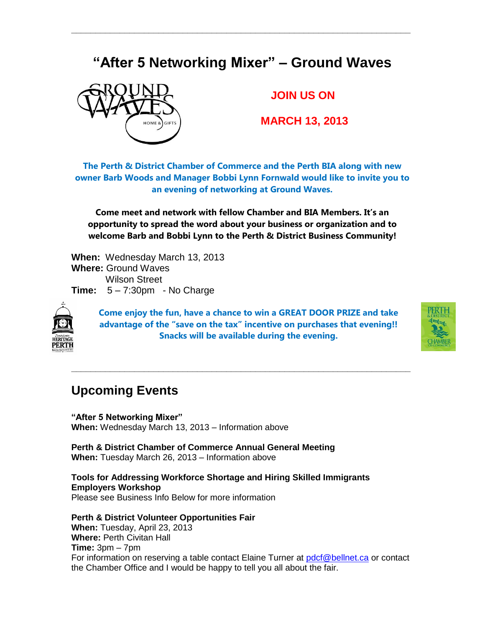## **"After 5 Networking Mixer" – Ground Waves**

**\_\_\_\_\_\_\_\_\_\_\_\_\_\_\_\_\_\_\_\_\_\_\_\_\_\_\_\_\_\_\_\_\_\_\_\_\_\_\_\_\_\_\_\_\_\_\_\_\_\_\_\_\_\_\_\_\_\_\_\_\_\_\_\_\_\_\_\_\_\_**



### **JOIN US ON**

**MARCH 13, 2013**

**The Perth & District Chamber of Commerce and the Perth BIA along with new owner Barb Woods and Manager Bobbi Lynn Fornwald would like to invite you to an evening of networking at Ground Waves.** 

**Come meet and network with fellow Chamber and BIA Members. It's an opportunity to spread the word about your business or organization and to welcome Barb and Bobbi Lynn to the Perth & District Business Community!**

**When:** Wednesday March 13, 2013 **Where:** Ground Waves Wilson Street **Time:** 5 – 7:30pm - No Charge



**Come enjoy the fun, have a chance to win a GREAT DOOR PRIZE and take advantage of the "save on the tax" incentive on purchases that evening!! Snacks will be available during the evening.**

**\_\_\_\_\_\_\_\_\_\_\_\_\_\_\_\_\_\_\_\_\_\_\_\_\_\_\_\_\_\_\_\_\_\_\_\_\_\_\_\_\_\_\_\_\_\_\_\_\_\_\_\_\_\_\_\_\_\_\_\_\_\_\_\_\_\_\_\_\_\_**



### **Upcoming Events**

**"After 5 Networking Mixer" When:** Wednesday March 13, 2013 – Information above

**Perth & District Chamber of Commerce Annual General Meeting When:** Tuesday March 26, 2013 – Information above

**Tools for Addressing Workforce Shortage and Hiring Skilled Immigrants Employers Workshop** Please see Business Info Below for more information

**Perth & District Volunteer Opportunities Fair**

**When:** Tuesday, April 23, 2013 **Where:** Perth Civitan Hall **Time:** 3pm – 7pm For information on reserving a table contact Elaine Turner at [pdcf@bellnet.ca](mailto:pdcf@bellnet.ca) or contact the Chamber Office and I would be happy to tell you all about the fair.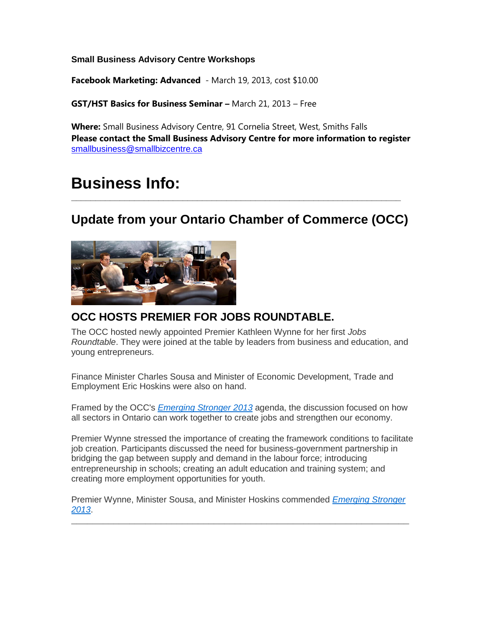**Small Business Advisory Centre Workshops**

**Facebook Marketing: Advanced** - March 19, 2013, cost \$10.00

**GST/HST Basics for Business Seminar –** March 21, 2013 – Free

**Where:** Small Business Advisory Centre, 91 Cornelia Street, West, Smiths Falls **Please contact the Small Business Advisory Centre for more information to register** [smallbusiness@smallbizcentre.ca](mailto:smallbusiness@smallbizcentre.ca)

# **Business Info:**

## **Update from your Ontario Chamber of Commerce (OCC)**

**\_\_\_\_\_\_\_\_\_\_\_\_\_\_\_\_\_\_\_\_\_\_\_\_\_\_\_\_\_\_\_\_\_\_\_\_\_\_\_\_\_\_\_\_\_\_\_\_\_\_\_\_\_\_\_\_\_\_\_\_\_\_\_\_\_\_\_\_**



### **OCC HOSTS PREMIER FOR JOBS ROUNDTABLE.**

The OCC hosted newly appointed Premier Kathleen Wynne for her first *Jobs Roundtable*. They were joined at the table by leaders from business and education, and young entrepreneurs.

Finance Minister Charles Sousa and Minister of Economic Development, Trade and Employment Eric Hoskins were also on hand.

Framed by the OCC's *[Emerging Stronger 2013](http://r20.rs6.net/tn.jsp?e=001DGRvdlemq1E91G09a4yVcxVQmZ6ufrnPfAUFWnU5tGQ1DqXIk1tOKO2FWUSWsauD8ypfT81mhbt_iwCKa_Eckv6SaOxgsf0vj4THvYwEWJnV2cImuS6hWNGb1sRfKeDwl683YIrjcWM=)* agenda, the discussion focused on how all sectors in Ontario can work together to create jobs and strengthen our economy.

Premier Wynne stressed the importance of creating the framework conditions to facilitate job creation. Participants discussed the need for business-government partnership in bridging the gap between supply and demand in the labour force; introducing entrepreneurship in schools; creating an adult education and training system; and creating more employment opportunities for youth.

Premier Wynne, Minister Sousa, and Minister Hoskins commended *[Emerging Stronger](http://r20.rs6.net/tn.jsp?e=001DGRvdlemq1E91G09a4yVcxVQmZ6ufrnPfAUFWnU5tGQ1DqXIk1tOKO2FWUSWsauD8ypfT81mhbt_iwCKa_Eckv6SaOxgsf0vj4THvYwEWJnV2cImuS6hWNGb1sRfKeDwl683YIrjcWM=)  [2013](http://r20.rs6.net/tn.jsp?e=001DGRvdlemq1E91G09a4yVcxVQmZ6ufrnPfAUFWnU5tGQ1DqXIk1tOKO2FWUSWsauD8ypfT81mhbt_iwCKa_Eckv6SaOxgsf0vj4THvYwEWJnV2cImuS6hWNGb1sRfKeDwl683YIrjcWM=)*.

**\_\_\_\_\_\_\_\_\_\_\_\_\_\_\_\_\_\_\_\_\_\_\_\_\_\_\_\_\_\_\_\_\_\_\_\_\_\_\_\_\_\_\_\_\_\_\_\_\_\_\_\_\_\_\_\_\_\_\_\_\_\_\_\_**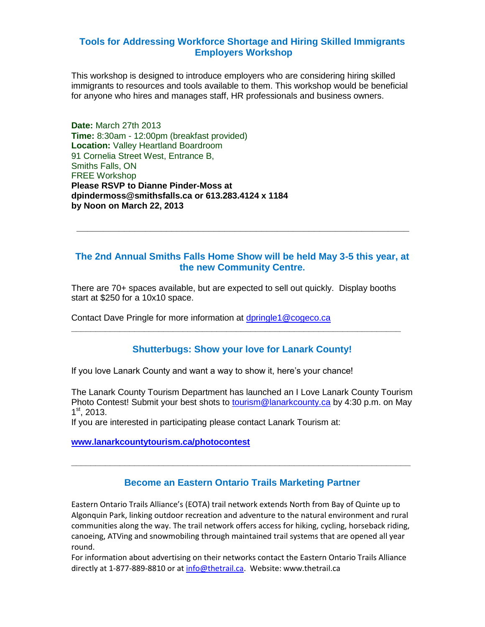#### **Tools for Addressing Workforce Shortage and Hiring Skilled Immigrants Employers Workshop**

This workshop is designed to introduce employers who are considering hiring skilled immigrants to resources and tools available to them. This workshop would be beneficial for anyone who hires and manages staff, HR professionals and business owners.

**Date:** March 27th 2013 **Time:** 8:30am - 12:00pm (breakfast provided) **Location:** Valley Heartland Boardroom 91 Cornelia Street West, Entrance B, Smiths Falls, ON FREE Workshop **Please RSVP to Dianne Pinder-Moss at dpindermoss@smithsfalls.ca or 613.283.4124 x 1184 by Noon on March 22, 2013**

#### **The 2nd Annual Smiths Falls Home Show will be held May 3-5 this year, at the new Community Centre.**

L**\_\_\_\_\_\_\_\_\_\_\_\_\_\_\_\_\_\_\_\_\_\_\_\_\_\_\_\_\_\_\_\_\_\_\_\_\_\_\_\_\_\_\_\_\_\_\_\_\_\_\_\_\_\_\_\_\_\_\_\_\_\_\_**

There are 70+ spaces available, but are expected to sell out quickly. Display booths start at \$250 for a 10x10 space.

**\_\_\_\_\_\_\_\_\_\_\_\_\_\_\_\_\_\_\_\_\_\_\_\_\_\_\_\_\_\_\_\_\_\_\_\_\_\_\_\_\_\_\_\_\_\_\_\_\_\_\_\_\_\_\_\_\_\_\_\_\_\_\_\_\_\_\_\_**

Contact Dave Pringle for more information at [dpringle1@cogeco.ca](mailto:dpringle1@cogeco.ca)

#### **Shutterbugs: Show your love for Lanark County!**

If you love Lanark County and want a way to show it, here's your chance!

The Lanark County Tourism Department has launched an I Love Lanark County Tourism Photo Contest! Submit your best shots to [tourism@lanarkcounty.ca](mailto:tourism@lanarkcounty.ca) by 4:30 p.m. on May 1 st, 2013.

If you are interested in participating please contact Lanark Tourism at:

**[www.lanarkcountytourism.ca/photocontest](http://www.lanarkcountytourism.ca/photocontest)**

#### **Become an Eastern Ontario Trails Marketing Partner**

**\_\_\_\_\_\_\_\_\_\_\_\_\_\_\_\_\_\_\_\_\_\_\_\_\_\_\_\_\_\_\_\_\_\_\_\_\_\_\_\_\_\_\_\_\_\_\_\_\_\_\_\_\_\_\_\_\_\_\_\_\_\_\_\_\_\_\_\_\_\_**

Eastern Ontario Trails Alliance's (EOTA) trail network extends North from Bay of Quinte up to Algonquin Park, linking outdoor recreation and adventure to the natural environment and rural communities along the way. The trail network offers access for hiking, cycling, horseback riding, canoeing, ATVing and snowmobiling through maintained trail systems that are opened all year round.

For information about advertising on their networks contact the Eastern Ontario Trails Alliance directly at 1-877-889-8810 or at [info@thetrail.ca.](mailto:info@thetrail.ca) Website: www.thetrail.ca